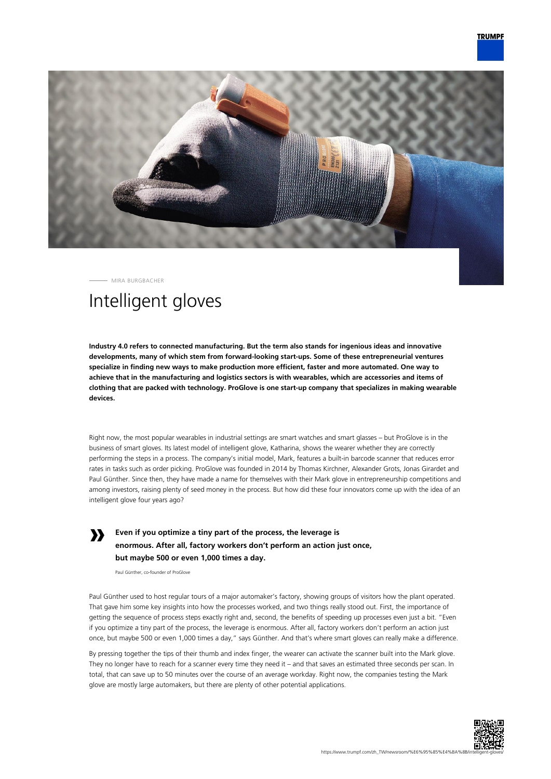

MIRA BURGBACHER

## Intelligent gloves

**Industry 4.0 refers to connected manufacturing. But the term also stands for ingenious ideas and innovative developments, many of which stem from forward-looking start-ups. Some of these entrepreneurial ventures specialize in finding new ways to make production more efficient, faster and more automated. One way to achieve that in the manufacturing and logistics sectors is with wearables, which are accessories and items of clothing that are packed with technology. ProGlove is one start-up company that specializes in making wearable devices.**

Right now, the most popular wearables in industrial settings are smart watches and smart glasses – but ProGlove is in the business of smart gloves. Its latest model of intelligent glove, Katharina, shows the wearer whether they are correctly performing the steps in a process. The company's initial model, Mark, features a built-in barcode scanner that reduces error rates in tasks such as order picking. ProGlove was founded in 2014 by Thomas Kirchner, Alexander Grots, Jonas Girardet and Paul Günther. Since then, they have made a name for themselves with their Mark glove in entrepreneurship competitions and among investors, raising plenty of seed money in the process. But how did these four innovators come up with the idea of an intelligent glove four years ago?

**» Even if you optimize a tiny part of the process, the leverage is enormous. After all, factory workers don't perform an action just once, but maybe 500 or even 1,000 times a day.**

Paul Günther, co-founder of ProGlove

Paul Günther used to host regular tours of a major automaker's factory, showing groups of visitors how the plant operated. That gave him some key insights into how the processes worked, and two things really stood out. First, the importance of getting the sequence of process steps exactly right and, second, the benefits of speeding up processes even just a bit. "Even if you optimize a tiny part of the process, the leverage is enormous. After all, factory workers don't perform an action just once, but maybe 500 or even 1,000 times a day," says Günther. And that's where smart gloves can really make a difference.

By pressing together the tips of their thumb and index finger, the wearer can activate the scanner built into the Mark glove. They no longer have to reach for a scanner every time they need it – and that saves an estimated three seconds per scan. In total, that can save up to 50 minutes over the course of an average workday. Right now, the companies testing the Mark glove are mostly large automakers, but there are plenty of other potential applications.